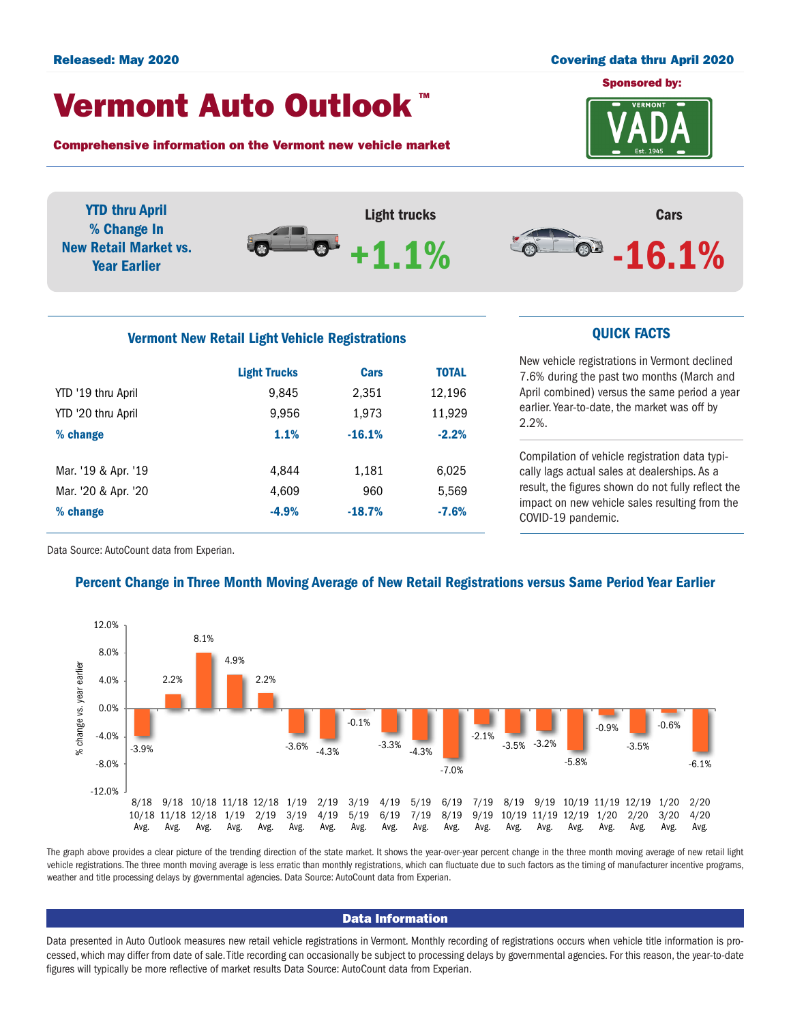# Sponsored by: Released: May 2020 Covering data thru April 2020

## Vermont Auto Outlook TM

Comprehensive information on the Vermont new vehicle market

**VERMONT** 



# Vermont New Retail Light Vehicle Registrations **CUICK FACTS**

|                     | <b>Light Trucks</b> | Cars     | <b>TOTAL</b> |  |
|---------------------|---------------------|----------|--------------|--|
| YTD '19 thru April  | 9,845               | 2,351    | 12,196       |  |
| YTD '20 thru April  | 9,956               | 1,973    | 11,929       |  |
| % change            | 1.1%                | $-16.1%$ | $-2.2%$      |  |
|                     |                     |          |              |  |
| Mar. '19 & Apr. '19 | 4.844               | 1,181    | 6,025        |  |
| Mar. '20 & Apr. '20 | 4,609               | 960      | 5,569        |  |
| % change            | $-4.9%$             | $-18.7%$ | $-7.6%$      |  |
|                     |                     |          |              |  |

New vehicle registrations in Vermont declined 7.6% during the past two months (March and April combined) versus the same period a year earlier. Year-to-date, the market was off by 2.2%.

Compilation of vehicle registration data typically lags actual sales at dealerships. As a result, the figures shown do not fully reflect the impact on new vehicle sales resulting from the COVID-19 pandemic.

Data Source: AutoCount data from Experian.

### Percent Change in Three Month Moving Average of New Retail Registrations versus Same Period Year Earlier



The graph above provides a clear picture of the trending direction of the state market. It shows the year-over-year percent change in the three month moving average of new retail light vehicle registrations. The three month moving average is less erratic than monthly registrations, which can fluctuate due to such factors as the timing of manufacturer incentive programs, weather and title processing delays by governmental agencies. Data Source: AutoCount data from Experian.

### Data Information

Data presented in Auto Outlook measures new retail vehicle registrations in Vermont. Monthly recording of registrations occurs when vehicle title information is processed, which may differ from date of sale. Title recording can occasionally be subject to processing delays by governmental agencies. For this reason, the year-to-date figures will typically be more reflective of market results Data Source: AutoCount data from Experian.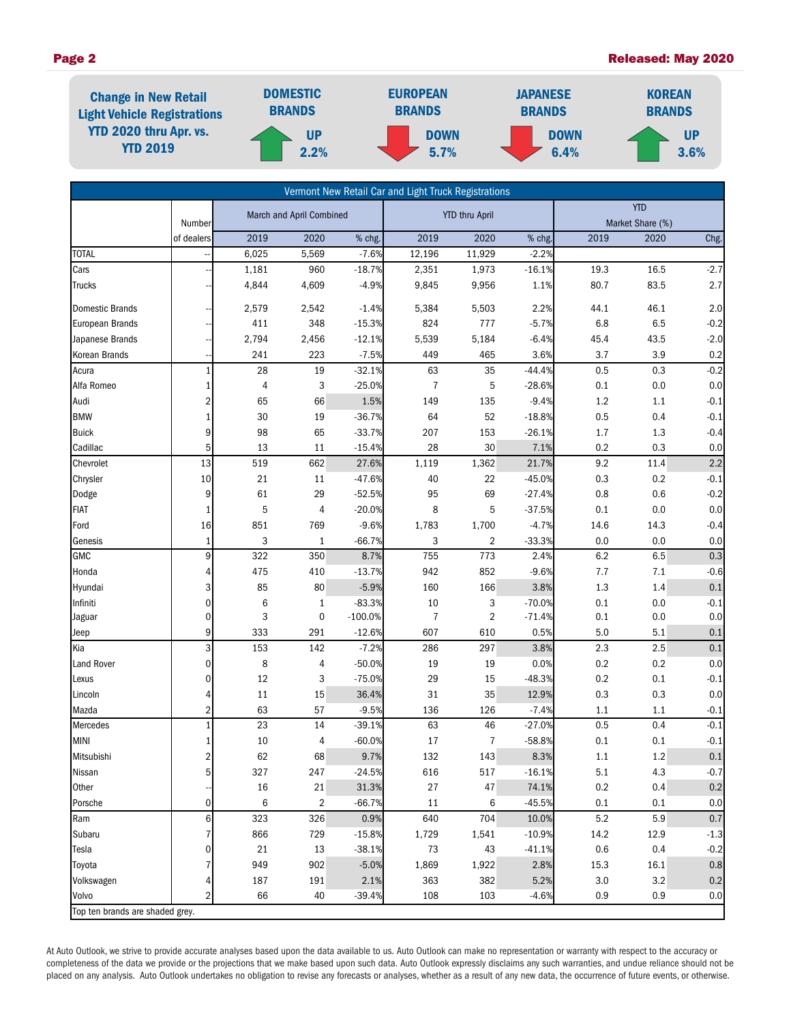#### Page 2 Released: May 2020



| Vermont New Retail Car and Light Truck Registrations |                     |                          |                |                       |                |                |                  |            |                  |               |  |
|------------------------------------------------------|---------------------|--------------------------|----------------|-----------------------|----------------|----------------|------------------|------------|------------------|---------------|--|
|                                                      |                     | March and April Combined |                | <b>YTD thru April</b> |                |                | <b>YTD</b>       |            |                  |               |  |
|                                                      | Number              |                          |                |                       |                |                |                  |            | Market Share (%) |               |  |
|                                                      | of dealers          | 2019                     | 2020           | % chg.                | 2019           | 2020           | % chg.           | 2019       | 2020             | Chg.          |  |
| <b>TOTAL</b>                                         |                     | 6,025                    | 5,569          | $-7.6%$               | 12,196         | 11,929         | $-2.2%$          |            |                  |               |  |
| Cars                                                 |                     | 1,181                    | 960            | $-18.7%$              | 2,351          | 1,973          | $-16.1%$         | 19.3       | 16.5             | $-2.7$        |  |
| <b>Trucks</b>                                        |                     | 4,844                    | 4,609          | $-4.9%$               | 9,845          | 9,956          | 1.1%             | 80.7       | 83.5             | 2.7           |  |
| <b>Domestic Brands</b>                               |                     | 2,579                    | 2,542          | $-1.4%$               | 5,384          | 5,503          | 2.2%             | 44.1       | 46.1             | 2.0           |  |
| European Brands                                      |                     | 411                      | 348            | $-15.3%$              | 824            | 777            | $-5.7%$          | 6.8        | 6.5              | $-0.2$        |  |
| Japanese Brands                                      |                     | 2,794                    | 2,456          | $-12.1%$              | 5,539          | 5,184          | $-6.4%$          | 45.4       | 43.5             | $-2.0$        |  |
| Korean Brands                                        |                     | 241                      | 223            | $-7.5%$               | 449            | 465            | 3.6%             | 3.7        | 3.9              | 0.2           |  |
| Acura                                                |                     | 28                       | 19             | $-32.1%$              | 63             | 35             | $-44.4%$         | 0.5        | 0.3              | $-0.2$        |  |
| Alfa Romeo                                           |                     | 4                        | 3              | $-25.0%$              | $\overline{7}$ | 5              | $-28.6%$         | 0.1        | 0.0              | 0.0           |  |
| Audi                                                 | 2                   | 65                       | 66             | 1.5%                  | 149            | 135            | $-9.4%$          | $1.2\,$    | 1.1              | $-0.1$        |  |
| <b>BMW</b>                                           |                     | 30                       | 19             | $-36.7%$              | 64             | 52             | $-18.8%$         | 0.5        | 0.4              | $-0.1$        |  |
| <b>Buick</b>                                         | 9                   | 98                       | 65             | $-33.7%$              | 207            | 153            | $-26.1%$         | 1.7        | $1.3$            | $-0.4$        |  |
| Cadillac                                             | 5                   | 13                       | 11             | $-15.4%$              | 28             | 30             | 7.1%             | 0.2        | 0.3              | 0.0           |  |
| Chevrolet                                            | 13                  | 519                      | 662            | 27.6%                 | 1,119          | 1,362          | 21.7%            | 9.2        | 11.4             | 2.2           |  |
| Chrysler                                             | 10                  | 21                       | 11             | $-47.6%$              | 40             | 22             | $-45.0%$         | 0.3        | 0.2              | $-0.1$        |  |
| Dodge                                                | 9                   | 61                       | 29             | $-52.5%$              | 95             | 69             | $-27.4%$         | 0.8        | 0.6              | $-0.2$        |  |
| <b>FIAT</b>                                          |                     | 5                        | 4              | $-20.0%$              | 8              | 5              | $-37.5%$         | 0.1        | 0.0              | 0.0           |  |
| Ford                                                 | 16                  | 851                      | 769            | $-9.6%$               | 1,783          | 1,700          | $-4.7%$          | 14.6       | 14.3             | $-0.4$        |  |
| Genesis                                              | 1                   | 3                        | $\mathbf{1}$   | $-66.7%$              | 3              | $\overline{2}$ | $-33.3%$         | 0.0        | 0.0              | 0.0           |  |
| <b>GMC</b>                                           | 9                   | 322                      | 350            | 8.7%                  | 755            | 773            | 2.4%             | 6.2        | 6.5              | 0.3           |  |
| Honda                                                | 4                   | 475                      | 410            | $-13.7%$              | 942            | 852            | $-9.6%$          | 7.7        | 7.1              | $-0.6$        |  |
| Hyundai                                              | 3                   | 85                       | 80             | $-5.9%$               | 160            | 166            | 3.8%             | 1.3        | $1.4\,$          | 0.1           |  |
| Infiniti                                             | 0                   | 6                        | 1              | $-83.3%$              | 10             | 3              | $-70.0%$         | 0.1        | 0.0              | $-0.1$        |  |
| Jaguar                                               | 0                   | 3                        | 0              | $-100.0%$             | $\overline{7}$ | $\overline{2}$ | $-71.4%$         | 0.1        | 0.0              | 0.0           |  |
| Jeep                                                 | 9                   | 333                      | 291            | $-12.6%$              | 607            | 610            | 0.5%             | 5.0        | 5.1              | 0.1           |  |
| Kia                                                  | 3                   | 153                      | 142            | $-7.2%$               | 286            | 297            | 3.8%             | 2.3        | 2.5              | 0.1           |  |
| Land Rover                                           | 0                   | 8                        | 4              | $-50.0%$              | 19             | 19             | 0.0%             | 0.2        | 0.2              | 0.0           |  |
| Lexus                                                | 0                   | 12                       | 3              | $-75.0%$              | 29             | 15             | $-48.3%$         | 0.2        | 0.1              | $-0.1$<br>0.0 |  |
| Lincoln                                              | 4<br>$\overline{2}$ | 11<br>63                 | 15<br>57       | 36.4%<br>$-9.5%$      | 31<br>136      | 35<br>126      | 12.9%<br>$-7.4%$ | 0.3<br>1.1 | 0.3<br>1.1       | $-0.1$        |  |
| Mazda<br>Mercedes                                    |                     | 23                       | 14             | $-39.1%$              | 63             | 46             | $-27.0%$         | 0.5        | 0.4              | $-0.1$        |  |
| <b>MINI</b>                                          | 1                   | 10                       | 4              | $-60.0%$              | 17             | $\overline{7}$ | $-58.8%$         | 0.1        | 0.1              | $-0.1$        |  |
| Mitsubishi                                           | 2                   | 62                       | 68             | 9.7%                  | 132            | 143            | 8.3%             | 1.1        | $1.2\,$          | 0.1           |  |
| Nissan                                               | 5                   | 327                      | 247            | $-24.5%$              | 616            | 517            | $-16.1%$         | 5.1        | 4.3              | $-0.7$        |  |
| Other                                                |                     | 16                       | $21\,$         | 31.3%                 | 27             | $47\,$         | 74.1%            | 0.2        | 0.4              | $0.2\,$       |  |
| Porsche                                              | 0                   | 6                        | $\overline{2}$ | $-66.7%$              | 11             | 6              | $-45.5%$         | 0.1        | 0.1              | 0.0           |  |
| Ram                                                  | 6                   | 323                      | 326            | 0.9%                  | 640            | 704            | 10.0%            | 5.2        | 5.9              | 0.7           |  |
| Subaru                                               | 7                   | 866                      | 729            | $-15.8%$              | 1,729          | 1,541          | $-10.9%$         | 14.2       | 12.9             | $-1.3$        |  |
| Tesla                                                | 0                   | 21                       | 13             | $-38.1%$              | $73\,$         | 43             | $-41.1%$         | 0.6        | 0.4              | $-0.2$        |  |
| Toyota                                               | 7                   | 949                      | 902            | $-5.0%$               | 1,869          | 1,922          | 2.8%             | 15.3       | 16.1             | $0.8\,$       |  |
| Volkswagen                                           | 4                   | 187                      | 191            | 2.1%                  | 363            | 382            | 5.2%             | 3.0        | 3.2              | 0.2           |  |
| Volvo                                                | 2                   | 66                       | 40             | $-39.4%$              | 108            | 103            | $-4.6%$          | 0.9        | 0.9              | 0.0           |  |
| Top ten brands are shaded grey.                      |                     |                          |                |                       |                |                |                  |            |                  |               |  |

At Auto Outlook, we strive to provide accurate analyses based upon the data available to us. Auto Outlook can make no representation or warranty with respect to the accuracy or completeness of the data we provide or the projections that we make based upon such data. Auto Outlook expressly disclaims any such warranties, and undue reliance should not be placed on any analysis. Auto Outlook undertakes no obligation to revise any forecasts or analyses, whether as a result of any new data, the occurrence of future events, or otherwise.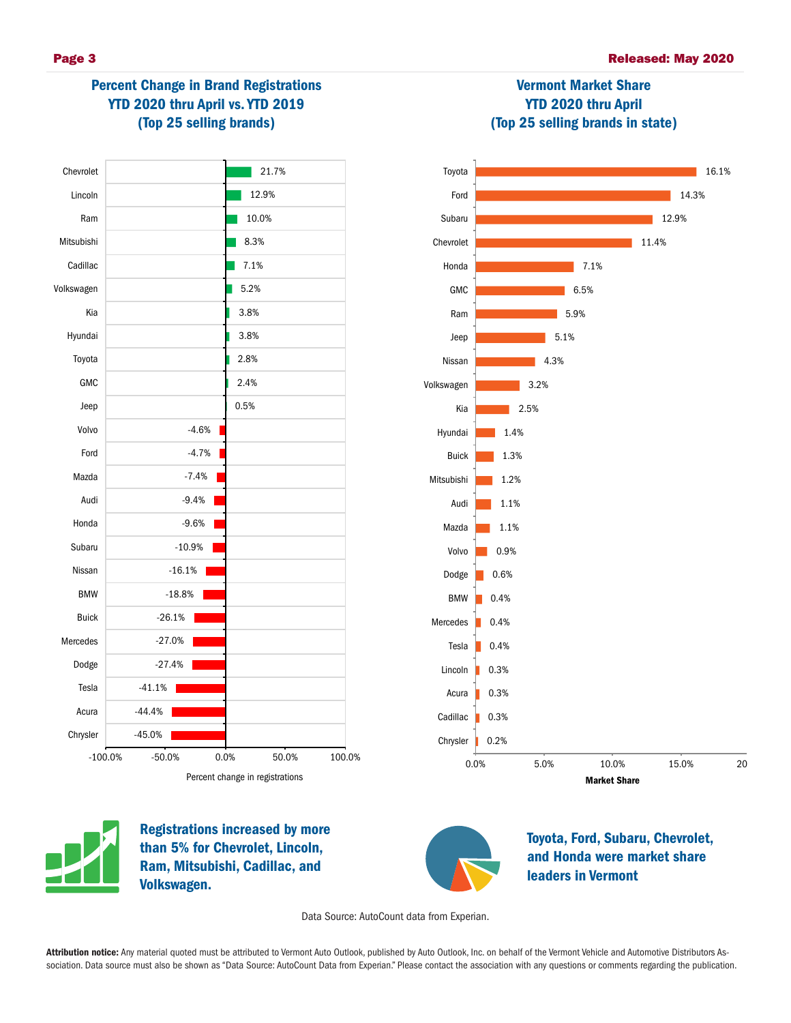# Percent Change in Brand Registrations YTD 2020 thru April vs. YTD 2019 (Top 25 selling brands)





Vermont Market Share YTD 2020 thru April



Registrations increased by more than 5% for Chevrolet, Lincoln, Ram, Mitsubishi, Cadillac, and Volkswagen.



Toyota, Ford, Subaru, Chevrolet, and Honda were market share leaders in Vermont

Data Source: AutoCount data from Experian.

Attribution notice: Any material quoted must be attributed to Vermont Auto Outlook, published by Auto Outlook, Inc. on behalf of the Vermont Vehicle and Automotive Distributors Association. Data source must also be shown as "Data Source: AutoCount Data from Experian." Please contact the association with any questions or comments regarding the publication.